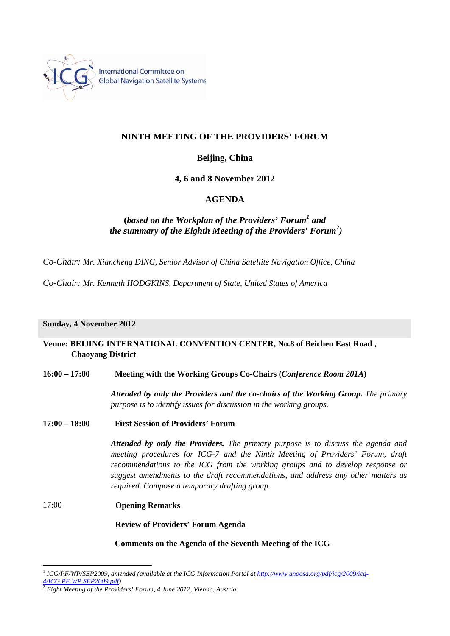

International Committee on **Global Navigation Satellite Systems** 

# **NINTH MEETING OF THE PROVIDERS' FORUM**

## **Beijing, China**

**4, 6 and 8 November 2012** 

## **AGENDA**

# **(***based on the Workplan of the Providers' Forum<sup>1</sup> and the summary of the Eighth Meeting of the Providers' Forum2 )*

*Co-Chair: Mr. Xiancheng DING, Senior Advisor of China Satellite Navigation Office, China*

*Co-Chair: Mr. Kenneth HODGKINS, Department of State, United States of America* 

### **Sunday, 4 November 2012**

## **Venue: BEIJING INTERNATIONAL CONVENTION CENTER, No.8 of Beichen East Road , Chaoyang District**

### **16:00 – 17:00 Meeting with the Working Groups Co-Chairs (***Conference Room 201A***)**

*Attended by only the Providers and the co-chairs of the Working Group. The primary purpose is to identify issues for discussion in the working groups.* 

**17:00 – 18:00 First Session of Providers' Forum** 

*Attended by only the Providers. The primary purpose is to discuss the agenda and meeting procedures for ICG-7 and the Ninth Meeting of Providers' Forum, draft recommendations to the ICG from the working groups and to develop response or suggest amendments to the draft recommendations, and address any other matters as required. Compose a temporary drafting group.* 

17:00 **Opening Remarks** 

 $\overline{a}$ 

**Review of Providers' Forum Agenda** 

### **Comments on the Agenda of the Seventh Meeting of the ICG**

<sup>1</sup> *ICG/PF/WP/SEP2009, amended (available at the ICG Information Portal at http://www.unoosa.org/pdf/icg/2009/icg-4/ICG.PF.WP.SEP2009.pdf)* <sup>2</sup> *Eight Meeting of the Providers' Forum, 4 June 2012, Vienna, Austria*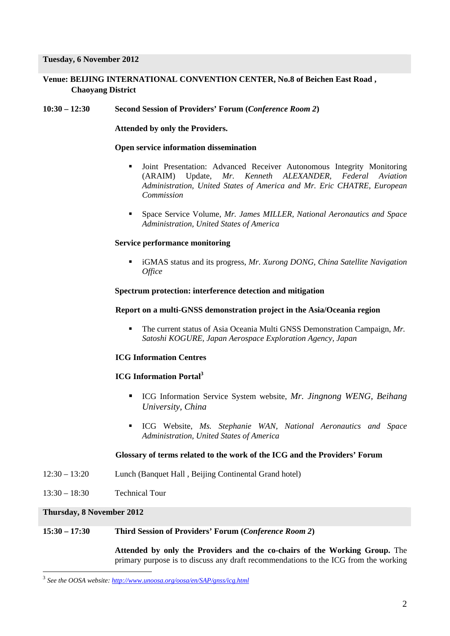**Tuesday, 6 November 2012** 

**Venue: BEIJING INTERNATIONAL CONVENTION CENTER, No.8 of Beichen East Road , Chaoyang District** 

**10:30 – 12:30 Second Session of Providers' Forum (***Conference Room 2***)** 

 **Attended by only the Providers.** 

#### **Open service information dissemination**

- Joint Presentation: Advanced Receiver Autonomous Integrity Monitoring (ARAIM) Update, *Mr. Kenneth ALEXANDER, Federal Aviation Administration, United States of America and Mr. Eric CHATRE, European Commission*
- Space Service Volume, *Mr. James MILLER, National Aeronautics and Space Administration, United States of America*

### **Service performance monitoring**

 iGMAS status and its progress, *Mr. Xurong DONG, China Satellite Navigation Office* 

#### **Spectrum protection: interference detection and mitigation**

#### **Report on a multi-GNSS demonstration project in the Asia/Oceania region**

 The current status of Asia Oceania Multi GNSS Demonstration Campaign, *Mr. Satoshi KOGURE, Japan Aerospace Exploration Agency, Japan*

### **ICG Information Centres**

## **ICG Information Portal3**

- ICG Information Service System website, *Mr. Jingnong WENG, Beihang University, China*
- ICG Website, *Ms. Stephanie WAN, National Aeronautics and Space Administration, United States of America*

### **Glossary of terms related to the work of the ICG and the Providers' Forum**

- 12:30 13:20 Lunch (Banquet Hall , Beijing Continental Grand hotel)
- 13:30 18:30 Technical Tour

#### **Thursday, 8 November 2012**

 $\overline{a}$ 

#### **15:30 – 17:30 Third Session of Providers' Forum (***Conference Room 2***)**

**Attended by only the Providers and the co-chairs of the Working Group.** The primary purpose is to discuss any draft recommendations to the ICG from the working

<sup>3</sup> *See the OOSA website: http://www.unoosa.org/oosa/en/SAP/gnss/icg.html*